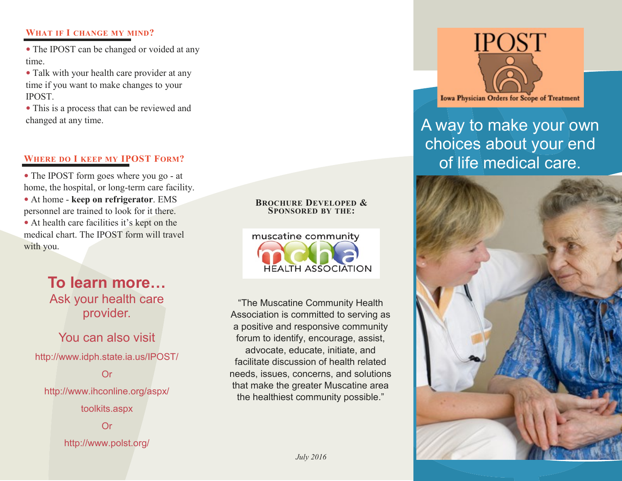## **WHAT IF I CHANGE MY MIND?**

- The IPOST can be changed or voided at any time.
- Talk with your health care provider at any time if you want to make changes to your IPOST.
- This is a process that can be reviewed and changed at any time.

## **WHERE DO I KEEP MY IPOST FORM?**

• The IPOST form goes where you go - at home, the hospital, or long-term care facility. At home - **keep on refrigerator**. EMS

personnel are trained to look for it there.

 At health care facilities it's kept on the medical chart. The IPOST form will travel with you.

# **To learn more…** Ask your health care provider.

You can also visit http://www.idph.state.ia.us/IPOST/

# Or

# http://www.ihconline.org/aspx/

toolkits.aspx

Or

http://www.polst.org/

#### **BROCHURE DEVELOPED & SPONSORED BY THE:**



"The Muscatine Community Health Association is committed to serving as a positive and responsive community forum to identify, encourage, assist, advocate, educate, initiate, and facilitate discussion of health related needs, issues, concerns, and solutions that make the greater Muscatine area the healthiest community possible."

IPOST **Iowa Physician Orders for Scope of Treatment** 

A way to make your own choices about your end of life medical care.